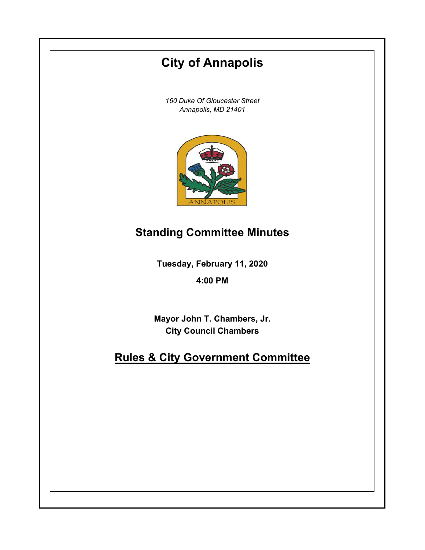# **City of Annapolis**

*160 Duke Of Gloucester Street Annapolis, MD 21401*



## **Standing Committee Minutes**

**Tuesday, February 11, 2020**

**4:00 PM**

**Mayor John T. Chambers, Jr. City Council Chambers**

## **Rules & City Government Committee**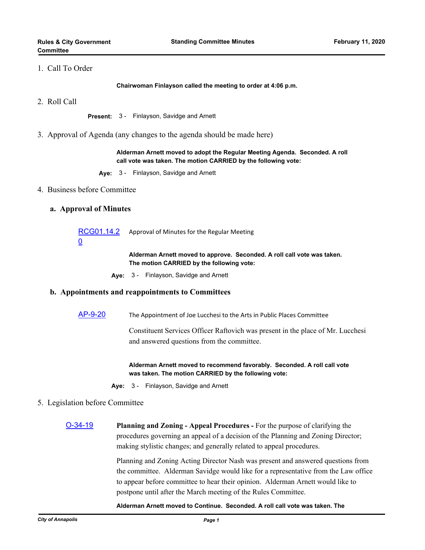## 1. Call To Order

**Chairwoman Finlayson called the meeting to order at 4:06 p.m.**

2. Roll Call

**Present:** 3 - Finlayson, Savidge and Arnett

3. Approval of Agenda (any changes to the agenda should be made here)

**Alderman Arnett moved to adopt the Regular Meeting Agenda. Seconded. A roll call vote was taken. The motion CARRIED by the following vote:**

- **Aye:** 3 Finlayson, Savidge and Arnett
- 4. Business before Committee

#### **a. Approval of Minutes**

[RCG01.14.2](http://annapolismd.legistar.com/gateway.aspx?m=l&id=/matter.aspx?key=4624) 0 Approval of Minutes for the Regular Meeting

> **Alderman Arnett moved to approve. Seconded. A roll call vote was taken. The motion CARRIED by the following vote:**

**Aye:** 3 - Finlayson, Savidge and Arnett

## **b. Appointments and reappointments to Committees**

[AP-9-20](http://annapolismd.legistar.com/gateway.aspx?m=l&id=/matter.aspx?key=4623) The Appointment of Joe Lucchesi to the Arts in Public Places Committee

Constituent Services Officer Raftovich was present in the place of Mr. Lucchesi and answered questions from the committee.

**Alderman Arnett moved to recommend favorably. Seconded. A roll call vote was taken. The motion CARRIED by the following vote:**

**Aye:** 3 - Finlayson, Savidge and Arnett

## 5. Legislation before Committee

[O-34-19](http://annapolismd.legistar.com/gateway.aspx?m=l&id=/matter.aspx?key=4449) **Planning and Zoning - Appeal Procedures -** For the purpose of clarifying the procedures governing an appeal of a decision of the Planning and Zoning Director; making stylistic changes; and generally related to appeal procedures.

> Planning and Zoning Acting Director Nash was present and answered questions from the committee. Alderman Savidge would like for a representative from the Law office to appear before committee to hear their opinion. Alderman Arnett would like to postpone until after the March meeting of the Rules Committee.

#### **Alderman Arnett moved to Continue. Seconded. A roll call vote was taken. The**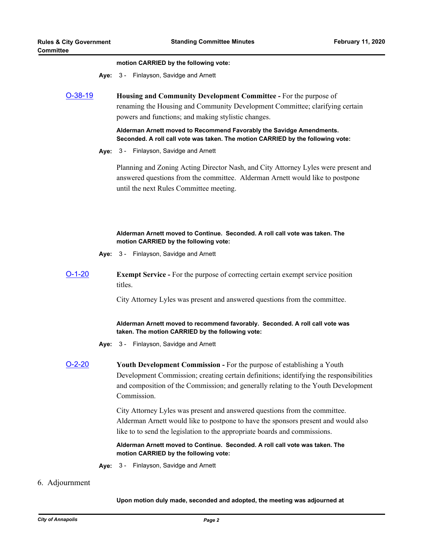#### **motion CARRIED by the following vote:**

**Aye:** 3 - Finlayson, Savidge and Arnett

[O-38-19](http://annapolismd.legistar.com/gateway.aspx?m=l&id=/matter.aspx?key=4558) **Housing and Community Development Committee -** For the purpose of renaming the Housing and Community Development Committee; clarifying certain powers and functions; and making stylistic changes.

> **Alderman Arnett moved to Recommend Favorably the Savidge Amendments. Seconded. A roll call vote was taken. The motion CARRIED by the following vote:**

**Aye:** 3 - Finlayson, Savidge and Arnett

Planning and Zoning Acting Director Nash, and City Attorney Lyles were present and answered questions from the committee. Alderman Arnett would like to postpone until the next Rules Committee meeting.

### **Alderman Arnett moved to Continue. Seconded. A roll call vote was taken. The motion CARRIED by the following vote:**

- **Aye:** 3 Finlayson, Savidge and Arnett
- [O-1-20](http://annapolismd.legistar.com/gateway.aspx?m=l&id=/matter.aspx?key=4575) **Exempt Service** For the purpose of correcting certain exempt service position titles.

City Attorney Lyles was present and answered questions from the committee.

### **Alderman Arnett moved to recommend favorably. Seconded. A roll call vote was taken. The motion CARRIED by the following vote:**

- **Aye:** 3 Finlayson, Savidge and Arnett
- [O-2-20](http://annapolismd.legistar.com/gateway.aspx?m=l&id=/matter.aspx?key=4585) **Youth Development Commission** For the purpose of establishing a Youth Development Commission; creating certain definitions; identifying the responsibilities and composition of the Commission; and generally relating to the Youth Development Commission.

City Attorney Lyles was present and answered questions from the committee. Alderman Arnett would like to postpone to have the sponsors present and would also like to to send the legislation to the appropriate boards and commissions.

**Alderman Arnett moved to Continue. Seconded. A roll call vote was taken. The motion CARRIED by the following vote:**

**Aye:** 3 - Finlayson, Savidge and Arnett

## 6. Adjournment

#### **Upon motion duly made, seconded and adopted, the meeting was adjourned at**